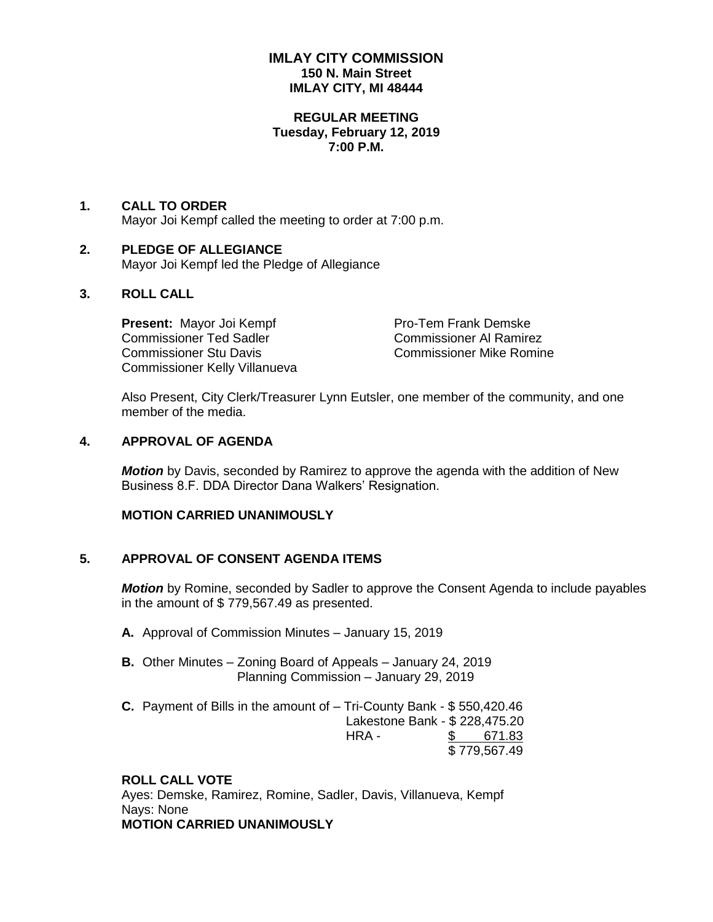## **IMLAY CITY COMMISSION 150 N. Main Street IMLAY CITY, MI 48444**

### **REGULAR MEETING Tuesday, February 12, 2019 7:00 P.M.**

#### **1. CALL TO ORDER** Mayor Joi Kempf called the meeting to order at 7:00 p.m.

### **2. PLEDGE OF ALLEGIANCE** Mayor Joi Kempf led the Pledge of Allegiance

## **3. ROLL CALL**

**Present:** Mayor Joi Kempf Pro-Tem Frank Demske Commissioner Ted Sadler Commissioner Al Ramirez Commissioner Stu Davis Commissioner Mike Romine Commissioner Kelly Villanueva

Also Present, City Clerk/Treasurer Lynn Eutsler, one member of the community, and one member of the media.

### **4. APPROVAL OF AGENDA**

*Motion* by Davis, seconded by Ramirez to approve the agenda with the addition of New Business 8.F. DDA Director Dana Walkers' Resignation.

## **MOTION CARRIED UNANIMOUSLY**

## **5. APPROVAL OF CONSENT AGENDA ITEMS**

*Motion* by Romine, seconded by Sadler to approve the Consent Agenda to include payables in the amount of \$ 779,567.49 as presented.

- **A.** Approval of Commission Minutes January 15, 2019
- **B.** Other Minutes Zoning Board of Appeals January 24, 2019 Planning Commission – January 29, 2019
- **C.** Payment of Bills in the amount of Tri-County Bank \$ 550,420.46 Lakestone Bank - \$ 228,475.20 HRA - \$ 671.83 \$ 779,567.49

## **ROLL CALL VOTE**

Ayes: Demske, Ramirez, Romine, Sadler, Davis, Villanueva, Kempf Nays: None **MOTION CARRIED UNANIMOUSLY**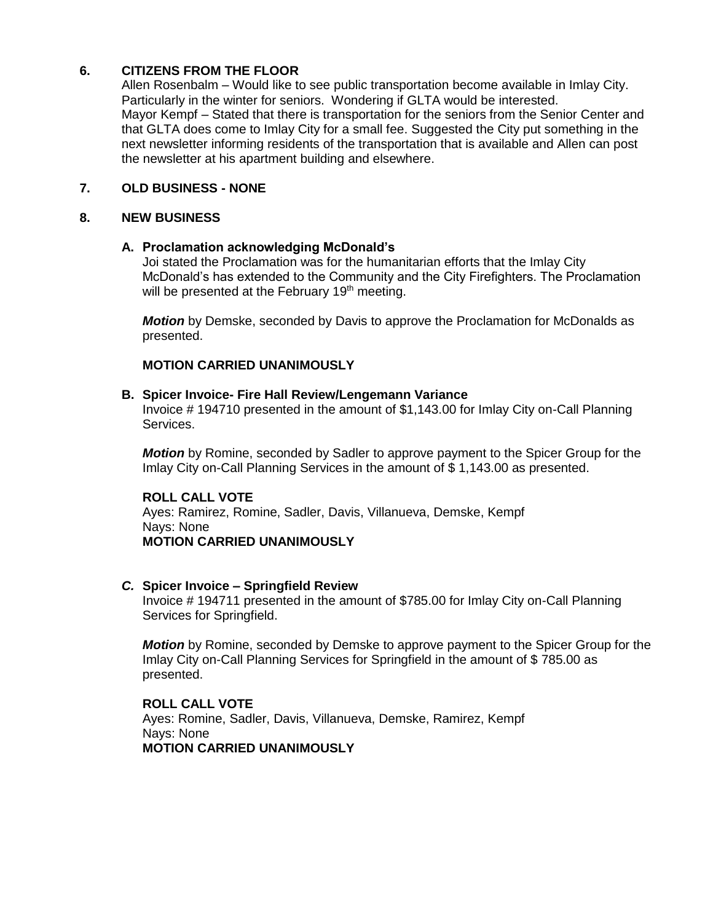# **6. CITIZENS FROM THE FLOOR**

Allen Rosenbalm – Would like to see public transportation become available in Imlay City. Particularly in the winter for seniors. Wondering if GLTA would be interested. Mayor Kempf – Stated that there is transportation for the seniors from the Senior Center and that GLTA does come to Imlay City for a small fee. Suggested the City put something in the next newsletter informing residents of the transportation that is available and Allen can post the newsletter at his apartment building and elsewhere.

## **7. OLD BUSINESS - NONE**

### **8. NEW BUSINESS**

## **A. Proclamation acknowledging McDonald's**

Joi stated the Proclamation was for the humanitarian efforts that the Imlay City McDonald's has extended to the Community and the City Firefighters. The Proclamation will be presented at the February 19<sup>th</sup> meeting.

*Motion* by Demske, seconded by Davis to approve the Proclamation for McDonalds as presented.

# **MOTION CARRIED UNANIMOUSLY**

### **B. Spicer Invoice- Fire Hall Review/Lengemann Variance**

Invoice # 194710 presented in the amount of \$1,143.00 for Imlay City on-Call Planning Services.

*Motion* by Romine, seconded by Sadler to approve payment to the Spicer Group for the Imlay City on-Call Planning Services in the amount of \$ 1,143.00 as presented.

### **ROLL CALL VOTE**

Ayes: Ramirez, Romine, Sadler, Davis, Villanueva, Demske, Kempf Nays: None **MOTION CARRIED UNANIMOUSLY**

#### *C.* **Spicer Invoice – Springfield Review**

Invoice # 194711 presented in the amount of \$785.00 for Imlay City on-Call Planning Services for Springfield.

*Motion* by Romine, seconded by Demske to approve payment to the Spicer Group for the Imlay City on-Call Planning Services for Springfield in the amount of \$ 785.00 as presented.

### **ROLL CALL VOTE**

Ayes: Romine, Sadler, Davis, Villanueva, Demske, Ramirez, Kempf Nays: None **MOTION CARRIED UNANIMOUSLY**